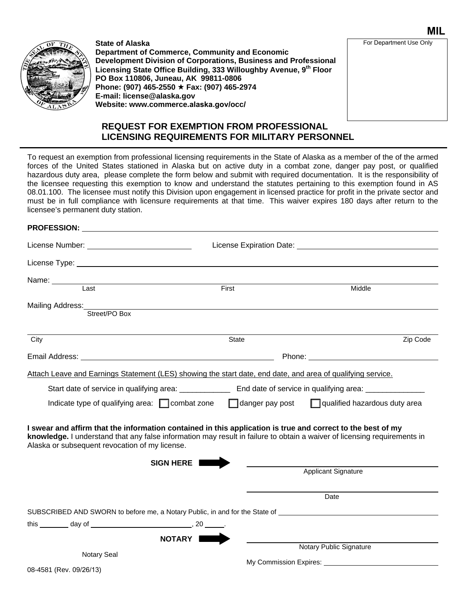

**State of Alaska Department of Commerce, Community and Economic Development Division of Corporations, Business and Professional Licensing State Office Building, 333 Willoughby Avenue, 9th Floor PO Box 110806, Juneau, AK 99811-0806 Phone: (907) 465-2550 Fax: (907) 465-2974 E-mail: license@alaska.gov Website: www.commerce.alaska.gov/occ/**

#### For Department Use Only

**MIL**

### **REQUEST FOR EXEMPTION FROM PROFESSIONAL LICENSING REQUIREMENTS FOR MILITARY PERSONNEL**

To request an exemption from professional licensing requirements in the State of Alaska as a member of the of the armed forces of the United States stationed in Alaska but on active duty in a combat zone, danger pay post, or qualified hazardous duty area, please complete the form below and submit with required documentation. It is the responsibility of the licensee requesting this exemption to know and understand the statutes pertaining to this exemption found in AS 08.01.100. The licensee must notify this Division upon engagement in licensed practice for profit in the private sector and must be in full compliance with licensure requirements at that time. This waiver expires 180 days after return to the licensee's permanent duty station.

# **PROFESSION:** License Number: License Expiration Date: License Type: Name: \_\_\_\_\_\_ Last First Middle Mailing Address: Street/PO Box City **State City** State **City** State **City** State **City** State **City** 21p Code Email Address: Phone: Attach Leave and Earnings Statement (LES) showing the start date, end date, and area of qualifying service. Start date of service in qualifying area: \_\_\_\_\_\_\_\_\_\_\_\_ End date of service in qualifying area: \_\_\_\_\_\_\_\_\_\_\_\_\_\_ Indicate type of qualifying area:  $\Box$  combat zone  $\Box$  danger pay post  $\Box$  qualified hazardous duty area **I swear and affirm that the information contained in this application is true and correct to the best of my knowledge.** I understand that any false information may result in failure to obtain a waiver of licensing requirements in Alaska or subsequent revocation of my license. **SIGN HERE**  Applicant Signature Date SUBSCRIBED AND SWORN to before me, a Notary Public, in and for the State of \_\_\_\_\_\_\_\_\_ this  $\frac{1}{20}$  day of  $\frac{1}{20}$ **NOTARY** Notary Public Signature My Commission Expires: \_\_\_\_\_\_\_\_\_\_\_\_\_ Notary Seal

08-4581 (Rev. 09/26/13)